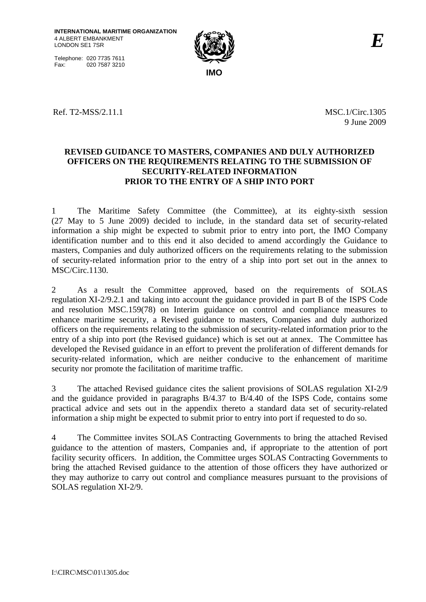Telephone: 020 7735 7611 Fax: 020 7587 3210



Ref. T2-MSS/2.11.1 MSC.1/Circ.1305

9 June 2009

## **REVISED GUIDANCE TO MASTERS, COMPANIES AND DULY AUTHORIZED OFFICERS ON THE REQUIREMENTS RELATING TO THE SUBMISSION OF SECURITY-RELATED INFORMATION PRIOR TO THE ENTRY OF A SHIP INTO PORT**

1 The Maritime Safety Committee (the Committee), at its eighty-sixth session (27 May to 5 June 2009) decided to include, in the standard data set of security-related information a ship might be expected to submit prior to entry into port, the IMO Company identification number and to this end it also decided to amend accordingly the Guidance to masters, Companies and duly authorized officers on the requirements relating to the submission of security-related information prior to the entry of a ship into port set out in the annex to MSC/Circ.1130.

2 As a result the Committee approved, based on the requirements of SOLAS regulation XI-2/9.2.1 and taking into account the guidance provided in part B of the ISPS Code and resolution MSC.159(78) on Interim guidance on control and compliance measures to enhance maritime security, a Revised guidance to masters, Companies and duly authorized officers on the requirements relating to the submission of security-related information prior to the entry of a ship into port (the Revised guidance) which is set out at annex. The Committee has developed the Revised guidance in an effort to prevent the proliferation of different demands for security-related information, which are neither conducive to the enhancement of maritime security nor promote the facilitation of maritime traffic.

3 The attached Revised guidance cites the salient provisions of SOLAS regulation XI-2/9 and the guidance provided in paragraphs B/4.37 to B/4.40 of the ISPS Code, contains some practical advice and sets out in the appendix thereto a standard data set of security-related information a ship might be expected to submit prior to entry into port if requested to do so.

4 The Committee invites SOLAS Contracting Governments to bring the attached Revised guidance to the attention of masters, Companies and, if appropriate to the attention of port facility security officers. In addition, the Committee urges SOLAS Contracting Governments to bring the attached Revised guidance to the attention of those officers they have authorized or they may authorize to carry out control and compliance measures pursuant to the provisions of SOLAS regulation XI-2/9.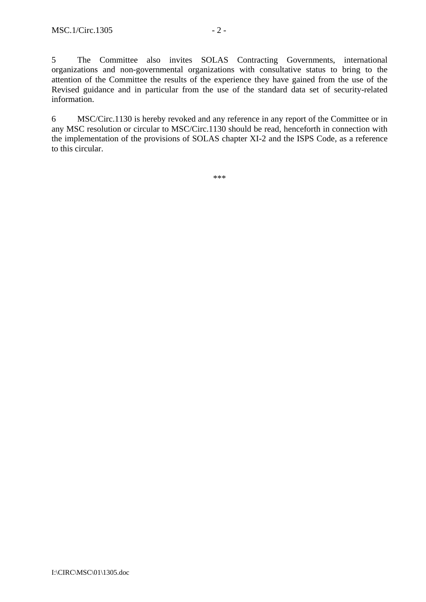5 The Committee also invites SOLAS Contracting Governments, international organizations and non-governmental organizations with consultative status to bring to the attention of the Committee the results of the experience they have gained from the use of the Revised guidance and in particular from the use of the standard data set of security-related information.

6 MSC/Circ.1130 is hereby revoked and any reference in any report of the Committee or in any MSC resolution or circular to MSC/Circ.1130 should be read, henceforth in connection with the implementation of the provisions of SOLAS chapter XI-2 and the ISPS Code, as a reference to this circular.

\*\*\*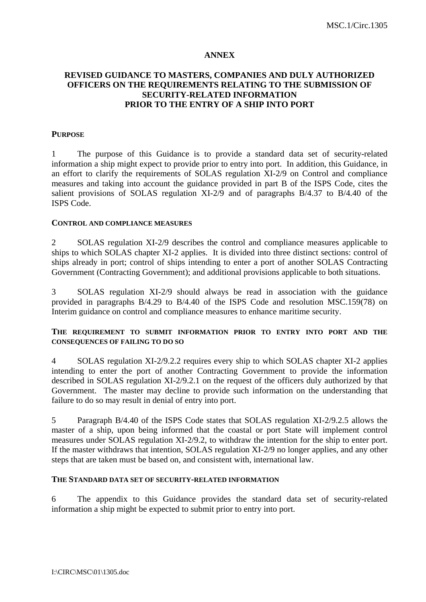#### **ANNEX**

## **REVISED GUIDANCE TO MASTERS, COMPANIES AND DULY AUTHORIZED OFFICERS ON THE REQUIREMENTS RELATING TO THE SUBMISSION OF SECURITY-RELATED INFORMATION PRIOR TO THE ENTRY OF A SHIP INTO PORT**

#### **PURPOSE**

1 The purpose of this Guidance is to provide a standard data set of security-related information a ship might expect to provide prior to entry into port. In addition, this Guidance, in an effort to clarify the requirements of SOLAS regulation XI-2/9 on Control and compliance measures and taking into account the guidance provided in part B of the ISPS Code, cites the salient provisions of SOLAS regulation XI-2/9 and of paragraphs B/4.37 to B/4.40 of the ISPS Code.

#### **CONTROL AND COMPLIANCE MEASURES**

2 SOLAS regulation XI-2/9 describes the control and compliance measures applicable to ships to which SOLAS chapter XI-2 applies. It is divided into three distinct sections: control of ships already in port; control of ships intending to enter a port of another SOLAS Contracting Government (Contracting Government); and additional provisions applicable to both situations.

3 SOLAS regulation XI-2/9 should always be read in association with the guidance provided in paragraphs B/4.29 to B/4.40 of the ISPS Code and resolution MSC.159(78) on Interim guidance on control and compliance measures to enhance maritime security.

### **THE REQUIREMENT TO SUBMIT INFORMATION PRIOR TO ENTRY INTO PORT AND THE CONSEQUENCES OF FAILING TO DO SO**

4 SOLAS regulation XI-2/9.2.2 requires every ship to which SOLAS chapter XI-2 applies intending to enter the port of another Contracting Government to provide the information described in SOLAS regulation XI-2/9.2.1 on the request of the officers duly authorized by that Government. The master may decline to provide such information on the understanding that failure to do so may result in denial of entry into port.

5 Paragraph B/4.40 of the ISPS Code states that SOLAS regulation XI-2/9.2.5 allows the master of a ship, upon being informed that the coastal or port State will implement control measures under SOLAS regulation XI-2/9.2, to withdraw the intention for the ship to enter port. If the master withdraws that intention, SOLAS regulation XI-2/9 no longer applies, and any other steps that are taken must be based on, and consistent with, international law.

#### **THE STANDARD DATA SET OF SECURITY-RELATED INFORMATION**

6 The appendix to this Guidance provides the standard data set of security-related information a ship might be expected to submit prior to entry into port.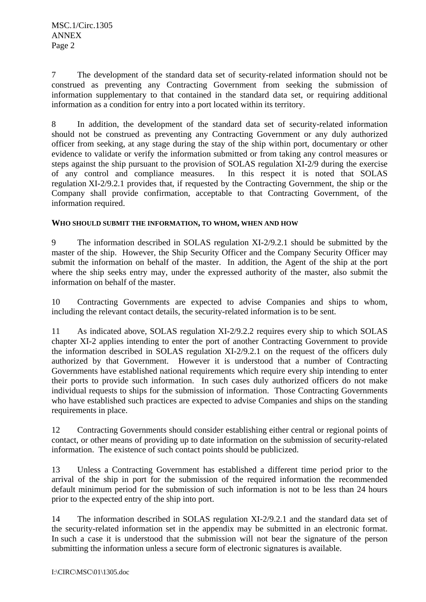7 The development of the standard data set of security-related information should not be construed as preventing any Contracting Government from seeking the submission of information supplementary to that contained in the standard data set, or requiring additional information as a condition for entry into a port located within its territory.

8 In addition, the development of the standard data set of security-related information should not be construed as preventing any Contracting Government or any duly authorized officer from seeking, at any stage during the stay of the ship within port, documentary or other evidence to validate or verify the information submitted or from taking any control measures or steps against the ship pursuant to the provision of SOLAS regulation XI-2/9 during the exercise of any control and compliance measures. In this respect it is noted that SOLAS regulation XI-2/9.2.1 provides that, if requested by the Contracting Government, the ship or the Company shall provide confirmation, acceptable to that Contracting Government, of the information required.

## **WHO SHOULD SUBMIT THE INFORMATION, TO WHOM, WHEN AND HOW**

9 The information described in SOLAS regulation XI-2/9.2.1 should be submitted by the master of the ship. However, the Ship Security Officer and the Company Security Officer may submit the information on behalf of the master. In addition, the Agent of the ship at the port where the ship seeks entry may, under the expressed authority of the master, also submit the information on behalf of the master.

10 Contracting Governments are expected to advise Companies and ships to whom, including the relevant contact details, the security-related information is to be sent.

11 As indicated above, SOLAS regulation XI-2/9.2.2 requires every ship to which SOLAS chapter XI-2 applies intending to enter the port of another Contracting Government to provide the information described in SOLAS regulation XI-2/9.2.1 on the request of the officers duly authorized by that Government. However it is understood that a number of Contracting Governments have established national requirements which require every ship intending to enter their ports to provide such information. In such cases duly authorized officers do not make individual requests to ships for the submission of information. Those Contracting Governments who have established such practices are expected to advise Companies and ships on the standing requirements in place.

12 Contracting Governments should consider establishing either central or regional points of contact, or other means of providing up to date information on the submission of security-related information. The existence of such contact points should be publicized.

13 Unless a Contracting Government has established a different time period prior to the arrival of the ship in port for the submission of the required information the recommended default minimum period for the submission of such information is not to be less than 24 hours prior to the expected entry of the ship into port.

14 The information described in SOLAS regulation XI-2/9.2.1 and the standard data set of the security-related information set in the appendix may be submitted in an electronic format. In such a case it is understood that the submission will not bear the signature of the person submitting the information unless a secure form of electronic signatures is available.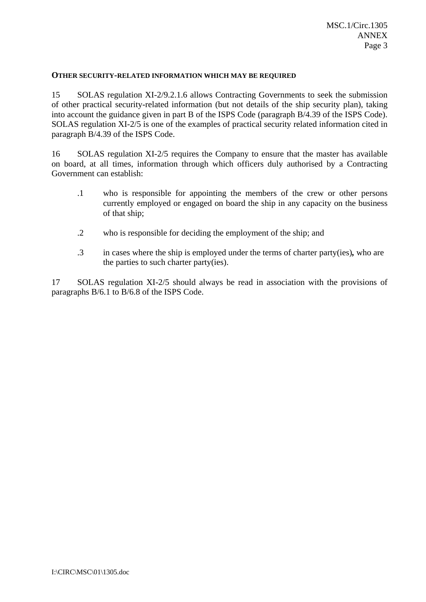#### **OTHER SECURITY-RELATED INFORMATION WHICH MAY BE REQUIRED**

15 SOLAS regulation XI-2/9.2.1.6 allows Contracting Governments to seek the submission of other practical security-related information (but not details of the ship security plan), taking into account the guidance given in part B of the ISPS Code (paragraph B/4.39 of the ISPS Code). SOLAS regulation XI-2/5 is one of the examples of practical security related information cited in paragraph B/4.39 of the ISPS Code.

16 SOLAS regulation XI-2/5 requires the Company to ensure that the master has available on board, at all times, information through which officers duly authorised by a Contracting Government can establish:

- .1 who is responsible for appointing the members of the crew or other persons currently employed or engaged on board the ship in any capacity on the business of that ship;
- .2 who is responsible for deciding the employment of the ship; and
- .3 in cases where the ship is employed under the terms of charter party(ies)*,* who are the parties to such charter party(ies).

17 SOLAS regulation XI-2/5 should always be read in association with the provisions of paragraphs B/6.1 to B/6.8 of the ISPS Code.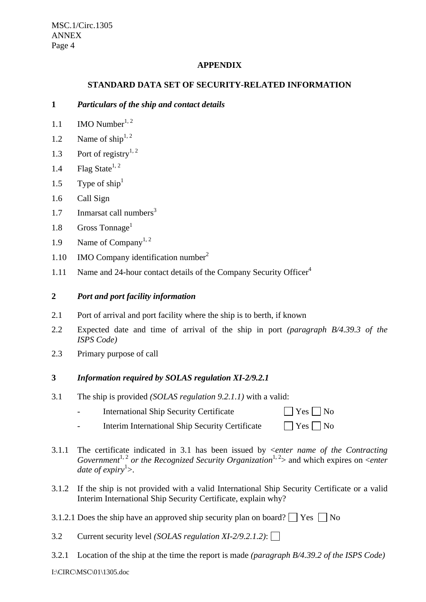MSC.1/Circ.1305 ANNEX Page 4

# **APPENDIX**

## **STANDARD DATA SET OF SECURITY-RELATED INFORMATION**

## **1** *Particulars of the ship and contact details*

- 1.1 IMO Number<sup>1, 2</sup>
- 1.2 Name of ship<sup>1, 2</sup>
- 1.3 Port of registry<sup>1, 2</sup>
- 1.4 Flag State<sup>1, 2</sup>
- 1.5 Type of  $\text{ship}^1$
- 1.6 Call Sign
- 1.7 Inmarsat call numbers<sup>3</sup>
- 1.8 Gross Tonnage<sup>1</sup>
- 1.9 Name of Company<sup>1, 2</sup>
- 1.10 IMO Company identification number<sup>2</sup>
- 1.11 Name and 24-hour contact details of the Company Security Officer<sup>4</sup>

### **2** *Port and port facility information*

- 2.1 Port of arrival and port facility where the ship is to berth, if known
- 2.2 Expected date and time of arrival of the ship in port *(paragraph B/4.39.3 of the ISPS Code)*
- 2.3 Primary purpose of call

### **3** *Information required by SOLAS regulation XI-2/9.2.1*

- 3.1 The ship is provided *(SOLAS regulation 9.2.1.1)* with a valid:
	- International Ship Security Certificate  $\Box$  Yes  $\Box$  No
	- Interim International Ship Security Certificate  $\Box$  Yes  $\Box$  No
- 3.1.1 The certificate indicated in 3.1 has been issued by <*enter name of the Contracting Government*<sup>1, 2</sup> or the Recognized Security Organization<sup>1, 2</sup> and which expires on <*enter* date of expiry<sup>1</sup>>.
- 3.1.2 If the ship is not provided with a valid International Ship Security Certificate or a valid Interim International Ship Security Certificate, explain why?
- 3.1.2.1 Does the ship have an approved ship security plan on board?  $\Box$  Yes  $\Box$  No
- 3.2 Current security level *(SOLAS regulation XI-2/9.2.1.2)*:
- 3.2.1 Location of the ship at the time the report is made *(paragraph B/4.39.2 of the ISPS Code)*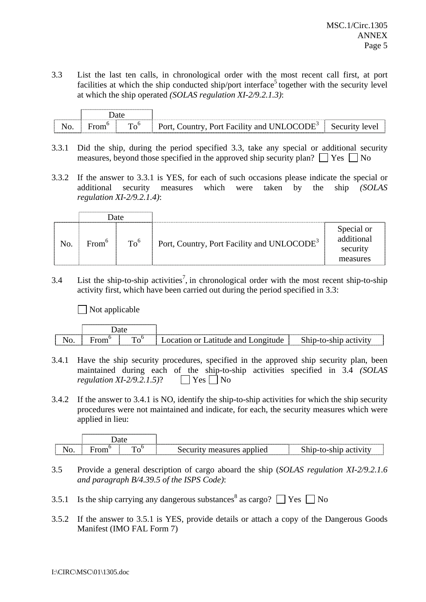3.3 List the last ten calls, in chronological order with the most recent call first, at port facilities at which the ship conducted ship/port interface<sup>5</sup> together with the security level at which the ship operated *(SOLAS regulation XI-2/9.2.1.3)*:

| ------------------- | 1010        |            |                                                                                                            |  |
|---------------------|-------------|------------|------------------------------------------------------------------------------------------------------------|--|
| N                   | $\mathbf -$ | m<br>C<br> | <br>$\blacksquare$<br>' M 'O<br>$\mathbf{H} \mathbf{H}^{\omega}$<br>INIL<br>Port Facility and L<br>`ountry |  |

- 3.3.1 Did the ship, during the period specified 3.3, take any special or additional security measures, beyond those specified in the approved ship security plan?  $\Box$  Yes  $\Box$  No
- 3.3.2 If the answer to 3.3.1 is YES, for each of such occasions please indicate the special or additional security measures which were taken by the ship *(SOLAS regulation XI-2/9.2.1.4)*:

|     | <b>Date</b>       |                 |                                                        |                                                  |
|-----|-------------------|-----------------|--------------------------------------------------------|--------------------------------------------------|
| No. | From <sup>6</sup> | To <sup>6</sup> | Port, Country, Port Facility and UNLOCODE <sup>3</sup> | Special or<br>additional<br>security<br>measures |

3.4 List the ship-to-ship activities<sup>7</sup>, in chronological order with the most recent ship-to-ship activity first, which have been carried out during the period specified in 3.3:

 $\Box$  Not applicable

|                                              |   |              |                                                             | ---------<br>--------------------------            |
|----------------------------------------------|---|--------------|-------------------------------------------------------------|----------------------------------------------------|
| v.<br>,,,,,,,,,,,,,,,,,,,,,,,,,,,,,,,,,,,,,, | – | ᡣ᠇<br>$\sim$ | 9n.<br>$\sim$ 10 $\sim$<br>$\alpha r$<br>ıde<br>™ude …<br>ົ | $\sim$<br><br>$\ddot{\phantom{0}}$<br><del>.</del> |

- 3.4.1 Have the ship security procedures, specified in the approved ship security plan, been maintained during each of the ship-to-ship activities specified in 3.4 *(SOLAS regulation XI-2/9.2.1.5*)?  $\Box$  Yes  $\Box$  No
- 3.4.2 If the answer to 3.4.1 is NO, identify the ship-to-ship activities for which the ship security procedures were not maintained and indicate, for each, the security measures which were applied in lieu:

|               |   |                        | ------------ |
|---------------|---|------------------------|--------------|
| ıv.<br>$\sim$ | _ | $\mathbf{r}$<br>$\sim$ |              |

- 3.5 Provide a general description of cargo aboard the ship (*SOLAS regulation XI-2/9.2.1.6 and paragraph B/4.39.5 of the ISPS Code)*:
- 3.5.1 Is the ship carrying any dangerous substances<sup>8</sup> as cargo?  $\Box$  Yes  $\Box$  No
- 3.5.2 If the answer to 3.5.1 is YES, provide details or attach a copy of the Dangerous Goods Manifest (IMO FAL Form 7)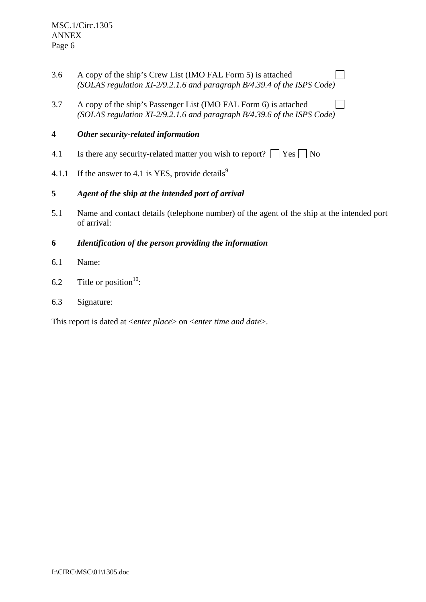- 3.6 A copy of the ship's Crew List (IMO FAL Form 5) is attached *(SOLAS regulation XI-2/9.2.1.6 and paragraph B/4.39.4 of the ISPS Code)*
- 3.7 A copy of the ship's Passenger List (IMO FAL Form 6) is attached  $\Box$ *(SOLAS regulation XI-2/9.2.1.6 and paragraph B/4.39.6 of the ISPS Code)*

# **4** *Other security-related information*

- 4.1 Is there any security-related matter you wish to report?  $\Box$  Yes  $\Box$  No
- 4.1.1 If the answer to 4.1 is YES, provide details<sup>9</sup>

# **5** *Agent of the ship at the intended port of arrival*

- 5.1 Name and contact details (telephone number) of the agent of the ship at the intended port of arrival:
- **6** *Identification of the person providing the information*
- 6.1 Name:
- 6.2 Title or position<sup>10</sup>:
- 6.3 Signature:

This report is dated at <*enter place*> on <*enter time and date*>.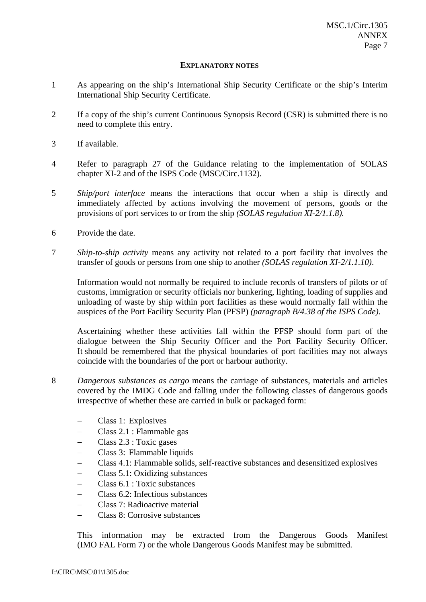#### **EXPLANATORY NOTES**

- 1 As appearing on the ship's International Ship Security Certificate or the ship's Interim International Ship Security Certificate.
- 2 If a copy of the ship's current Continuous Synopsis Record (CSR) is submitted there is no need to complete this entry.
- 3 If available.
- 4 Refer to paragraph 27 of the Guidance relating to the implementation of SOLAS chapter XI-2 and of the ISPS Code (MSC/Circ.1132).
- 5 *Ship/port interface* means the interactions that occur when a ship is directly and immediately affected by actions involving the movement of persons, goods or the provisions of port services to or from the ship *(SOLAS regulation XI-2/1.1.8).*
- 6 Provide the date.
- 7 *Ship-to-ship activity* means any activity not related to a port facility that involves the transfer of goods or persons from one ship to another *(SOLAS regulation XI-2/1.1.10)*.

Information would not normally be required to include records of transfers of pilots or of customs, immigration or security officials nor bunkering, lighting, loading of supplies and unloading of waste by ship within port facilities as these would normally fall within the auspices of the Port Facility Security Plan (PFSP) *(paragraph B/4.38 of the ISPS Code)*.

Ascertaining whether these activities fall within the PFSP should form part of the dialogue between the Ship Security Officer and the Port Facility Security Officer. It should be remembered that the physical boundaries of port facilities may not always coincide with the boundaries of the port or harbour authority.

- 8 *Dangerous substances as cargo* means the carriage of substances, materials and articles covered by the IMDG Code and falling under the following classes of dangerous goods irrespective of whether these are carried in bulk or packaged form:
	- − Class 1: Explosives
	- − Class 2.1 : Flammable gas
	- − Class 2.3 : Toxic gases
	- − Class 3: Flammable liquids
	- − Class 4.1: Flammable solids, self-reactive substances and desensitized explosives
	- − Class 5.1: Oxidizing substances
	- − Class 6.1 : Toxic substances
	- − Class 6.2: Infectious substances
	- − Class 7: Radioactive material
	- − Class 8: Corrosive substances

This information may be extracted from the Dangerous Goods Manifest (IMO FAL Form 7) or the whole Dangerous Goods Manifest may be submitted.